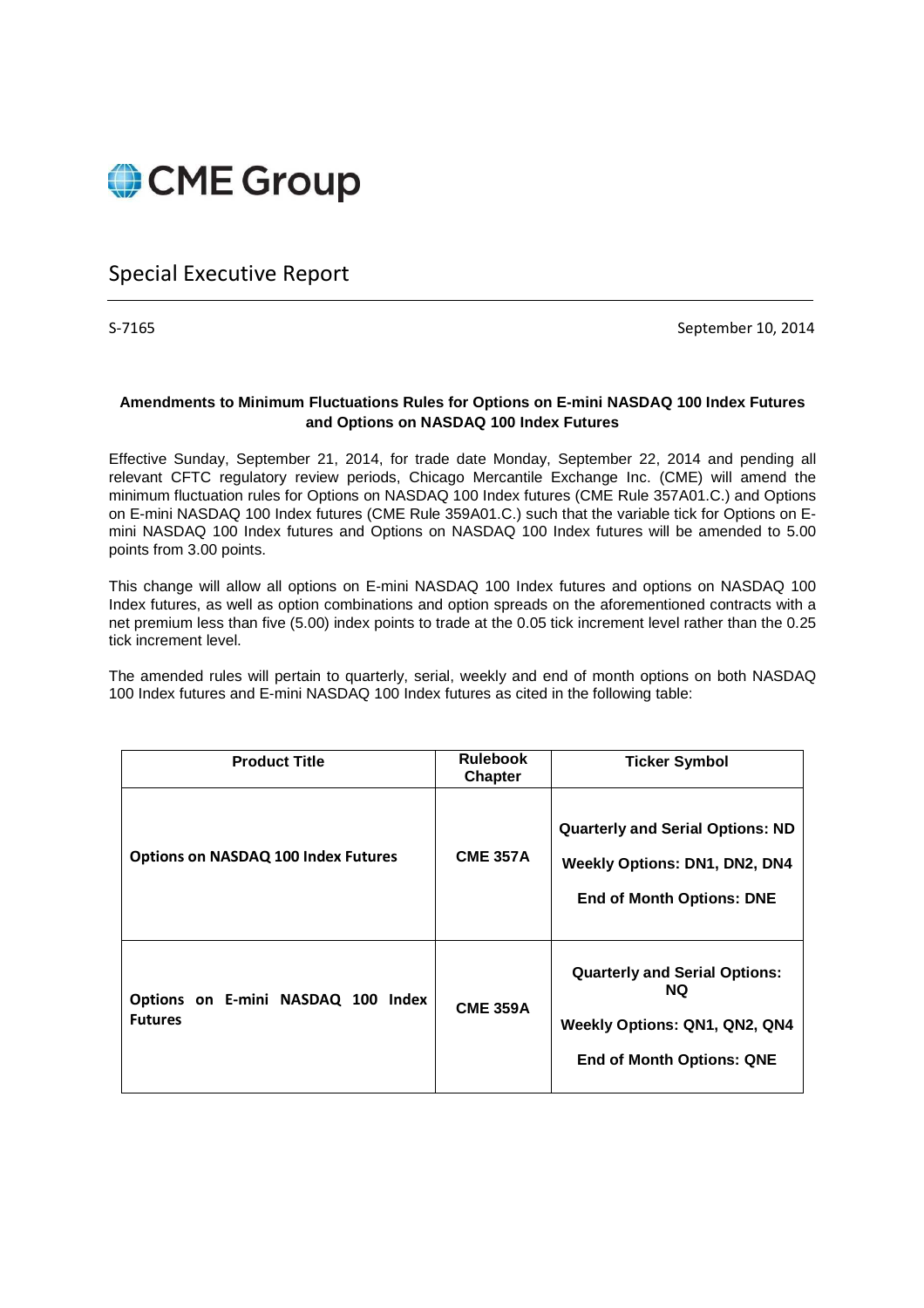

# Special Executive Report

S-7165 September 10, 2014

### **Amendments to Minimum Fluctuations Rules for Options on E-mini NASDAQ 100 Index Futures and Options on NASDAQ 100 Index Futures**

Effective Sunday, September 21, 2014, for trade date Monday, September 22, 2014 and pending all relevant CFTC regulatory review periods, Chicago Mercantile Exchange Inc. (CME) will amend the minimum fluctuation rules for Options on NASDAQ 100 Index futures (CME Rule 357A01.C.) and Options on E-mini NASDAQ 100 Index futures (CME Rule 359A01.C.) such that the variable tick for Options on Emini NASDAQ 100 Index futures and Options on NASDAQ 100 Index futures will be amended to 5.00 points from 3.00 points.

This change will allow all options on E-mini NASDAQ 100 Index futures and options on NASDAQ 100 Index futures, as well as option combinations and option spreads on the aforementioned contracts with a net premium less than five (5.00) index points to trade at the 0.05 tick increment level rather than the 0.25 tick increment level.

The amended rules will pertain to quarterly, serial, weekly and end of month options on both NASDAQ 100 Index futures and E-mini NASDAQ 100 Index futures as cited in the following table:

| <b>Product Title</b>                                 | <b>Rulebook</b><br><b>Chapter</b> | <b>Ticker Symbol</b>                                                                                                   |
|------------------------------------------------------|-----------------------------------|------------------------------------------------------------------------------------------------------------------------|
| <b>Options on NASDAQ 100 Index Futures</b>           | <b>CME 357A</b>                   | <b>Quarterly and Serial Options: ND</b><br><b>Weekly Options: DN1, DN2, DN4</b><br><b>End of Month Options: DNE</b>    |
| Options on E-mini NASDAQ 100 Index<br><b>Futures</b> | <b>CME 359A</b>                   | <b>Quarterly and Serial Options:</b><br><b>NQ</b><br>Weekly Options: QN1, QN2, QN4<br><b>End of Month Options: QNE</b> |